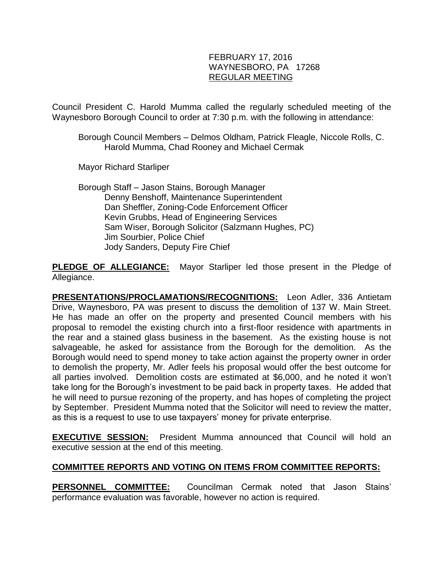### FEBRUARY 17, 2016 WAYNESBORO, PA 17268 REGULAR MEETING

Council President C. Harold Mumma called the regularly scheduled meeting of the Waynesboro Borough Council to order at 7:30 p.m. with the following in attendance:

Borough Council Members – Delmos Oldham, Patrick Fleagle, Niccole Rolls, C. Harold Mumma, Chad Rooney and Michael Cermak

Mayor Richard Starliper

Borough Staff – Jason Stains, Borough Manager Denny Benshoff, Maintenance Superintendent Dan Sheffler, Zoning-Code Enforcement Officer Kevin Grubbs, Head of Engineering Services Sam Wiser, Borough Solicitor (Salzmann Hughes, PC) Jim Sourbier, Police Chief Jody Sanders, Deputy Fire Chief

**PLEDGE OF ALLEGIANCE:** Mayor Starliper led those present in the Pledge of Allegiance.

**PRESENTATIONS/PROCLAMATIONS/RECOGNITIONS:** Leon Adler, 336 Antietam Drive, Waynesboro, PA was present to discuss the demolition of 137 W. Main Street. He has made an offer on the property and presented Council members with his proposal to remodel the existing church into a first-floor residence with apartments in the rear and a stained glass business in the basement. As the existing house is not salvageable, he asked for assistance from the Borough for the demolition. As the Borough would need to spend money to take action against the property owner in order to demolish the property, Mr. Adler feels his proposal would offer the best outcome for all parties involved. Demolition costs are estimated at \$6,000, and he noted it won't take long for the Borough's investment to be paid back in property taxes. He added that he will need to pursue rezoning of the property, and has hopes of completing the project by September. President Mumma noted that the Solicitor will need to review the matter, as this is a request to use to use taxpayers' money for private enterprise.

**EXECUTIVE SESSION:** President Mumma announced that Council will hold an executive session at the end of this meeting.

### **COMMITTEE REPORTS AND VOTING ON ITEMS FROM COMMITTEE REPORTS:**

**PERSONNEL COMMITTEE:** Councilman Cermak noted that Jason Stains' performance evaluation was favorable, however no action is required.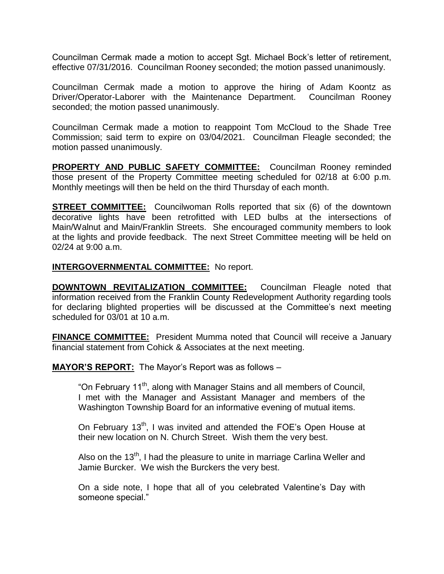Councilman Cermak made a motion to accept Sgt. Michael Bock's letter of retirement, effective 07/31/2016. Councilman Rooney seconded; the motion passed unanimously.

Councilman Cermak made a motion to approve the hiring of Adam Koontz as Driver/Operator-Laborer with the Maintenance Department. Councilman Rooney seconded; the motion passed unanimously.

Councilman Cermak made a motion to reappoint Tom McCloud to the Shade Tree Commission; said term to expire on 03/04/2021. Councilman Fleagle seconded; the motion passed unanimously.

**PROPERTY AND PUBLIC SAFETY COMMITTEE:** Councilman Rooney reminded those present of the Property Committee meeting scheduled for 02/18 at 6:00 p.m. Monthly meetings will then be held on the third Thursday of each month.

**STREET COMMITTEE:** Councilwoman Rolls reported that six (6) of the downtown decorative lights have been retrofitted with LED bulbs at the intersections of Main/Walnut and Main/Franklin Streets. She encouraged community members to look at the lights and provide feedback. The next Street Committee meeting will be held on 02/24 at 9:00 a.m.

#### **INTERGOVERNMENTAL COMMITTEE:** No report.

**DOWNTOWN REVITALIZATION COMMITTEE:** Councilman Fleagle noted that information received from the Franklin County Redevelopment Authority regarding tools for declaring blighted properties will be discussed at the Committee's next meeting scheduled for 03/01 at 10 a.m.

**FINANCE COMMITTEE:** President Mumma noted that Council will receive a January financial statement from Cohick & Associates at the next meeting.

**MAYOR'S REPORT:** The Mayor's Report was as follows –

"On February 11<sup>th</sup>, along with Manager Stains and all members of Council, I met with the Manager and Assistant Manager and members of the Washington Township Board for an informative evening of mutual items.

On February 13<sup>th</sup>, I was invited and attended the FOE's Open House at their new location on N. Church Street. Wish them the very best.

Also on the 13<sup>th</sup>, I had the pleasure to unite in marriage Carlina Weller and Jamie Burcker. We wish the Burckers the very best.

On a side note, I hope that all of you celebrated Valentine's Day with someone special."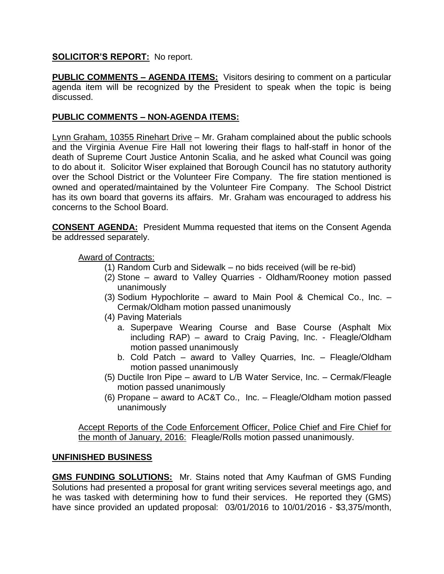## **SOLICITOR'S REPORT:** No report.

**PUBLIC COMMENTS – AGENDA ITEMS:** Visitors desiring to comment on a particular agenda item will be recognized by the President to speak when the topic is being discussed.

## **PUBLIC COMMENTS – NON-AGENDA ITEMS:**

Lynn Graham, 10355 Rinehart Drive – Mr. Graham complained about the public schools and the Virginia Avenue Fire Hall not lowering their flags to half-staff in honor of the death of Supreme Court Justice Antonin Scalia, and he asked what Council was going to do about it. Solicitor Wiser explained that Borough Council has no statutory authority over the School District or the Volunteer Fire Company. The fire station mentioned is owned and operated/maintained by the Volunteer Fire Company. The School District has its own board that governs its affairs. Mr. Graham was encouraged to address his concerns to the School Board.

**CONSENT AGENDA:** President Mumma requested that items on the Consent Agenda be addressed separately.

Award of Contracts:

- (1) Random Curb and Sidewalk no bids received (will be re-bid)
- (2) Stone award to Valley Quarries Oldham/Rooney motion passed unanimously
- (3) Sodium Hypochlorite award to Main Pool & Chemical Co., Inc. Cermak/Oldham motion passed unanimously
- (4) Paving Materials
	- a. Superpave Wearing Course and Base Course (Asphalt Mix including RAP) – award to Craig Paving, Inc. - Fleagle/Oldham motion passed unanimously
	- b. Cold Patch award to Valley Quarries, Inc. Fleagle/Oldham motion passed unanimously
- (5) Ductile Iron Pipe award to L/B Water Service, Inc. Cermak/Fleagle motion passed unanimously
- (6) Propane award to AC&T Co., Inc. Fleagle/Oldham motion passed unanimously

Accept Reports of the Code Enforcement Officer, Police Chief and Fire Chief for the month of January, 2016: Fleagle/Rolls motion passed unanimously.

### **UNFINISHED BUSINESS**

**GMS FUNDING SOLUTIONS:** Mr. Stains noted that Amy Kaufman of GMS Funding Solutions had presented a proposal for grant writing services several meetings ago, and he was tasked with determining how to fund their services. He reported they (GMS) have since provided an updated proposal: 03/01/2016 to 10/01/2016 - \$3,375/month,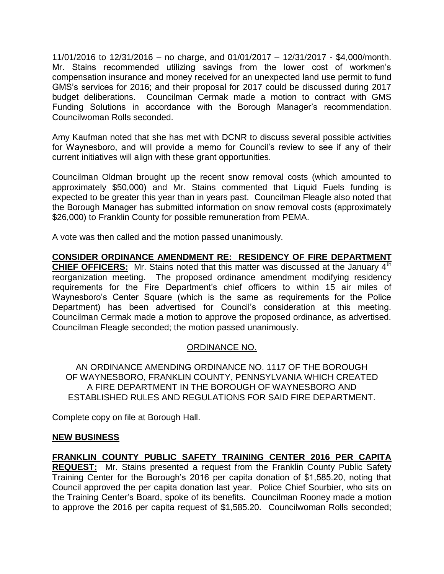11/01/2016 to 12/31/2016 – no charge, and 01/01/2017 – 12/31/2017 - \$4,000/month. Mr. Stains recommended utilizing savings from the lower cost of workmen's compensation insurance and money received for an unexpected land use permit to fund GMS's services for 2016; and their proposal for 2017 could be discussed during 2017 budget deliberations. Councilman Cermak made a motion to contract with GMS Funding Solutions in accordance with the Borough Manager's recommendation. Councilwoman Rolls seconded.

Amy Kaufman noted that she has met with DCNR to discuss several possible activities for Waynesboro, and will provide a memo for Council's review to see if any of their current initiatives will align with these grant opportunities.

Councilman Oldman brought up the recent snow removal costs (which amounted to approximately \$50,000) and Mr. Stains commented that Liquid Fuels funding is expected to be greater this year than in years past. Councilman Fleagle also noted that the Borough Manager has submitted information on snow removal costs (approximately \$26,000) to Franklin County for possible remuneration from PEMA.

A vote was then called and the motion passed unanimously.

**CONSIDER ORDINANCE AMENDMENT RE: RESIDENCY OF FIRE DEPARTMENT CHIEF OFFICERS:** Mr. Stains noted that this matter was discussed at the January 4<sup>th</sup> reorganization meeting. The proposed ordinance amendment modifying residency requirements for the Fire Department's chief officers to within 15 air miles of Waynesboro's Center Square (which is the same as requirements for the Police Department) has been advertised for Council's consideration at this meeting. Councilman Cermak made a motion to approve the proposed ordinance, as advertised. Councilman Fleagle seconded; the motion passed unanimously.

### ORDINANCE NO.

AN ORDINANCE AMENDING ORDINANCE NO. 1117 OF THE BOROUGH OF WAYNESBORO, FRANKLIN COUNTY, PENNSYLVANIA WHICH CREATED A FIRE DEPARTMENT IN THE BOROUGH OF WAYNESBORO AND ESTABLISHED RULES AND REGULATIONS FOR SAID FIRE DEPARTMENT.

Complete copy on file at Borough Hall.

### **NEW BUSINESS**

**FRANKLIN COUNTY PUBLIC SAFETY TRAINING CENTER 2016 PER CAPITA REQUEST:** Mr. Stains presented a request from the Franklin County Public Safety Training Center for the Borough's 2016 per capita donation of \$1,585.20, noting that Council approved the per capita donation last year. Police Chief Sourbier, who sits on the Training Center's Board, spoke of its benefits. Councilman Rooney made a motion to approve the 2016 per capita request of \$1,585.20. Councilwoman Rolls seconded;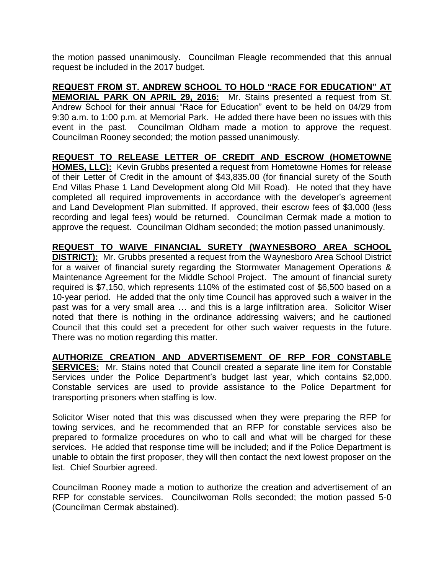the motion passed unanimously. Councilman Fleagle recommended that this annual request be included in the 2017 budget.

**REQUEST FROM ST. ANDREW SCHOOL TO HOLD "RACE FOR EDUCATION" AT MEMORIAL PARK ON APRIL 29, 2016:** Mr. Stains presented a request from St. Andrew School for their annual "Race for Education" event to be held on 04/29 from 9:30 a.m. to 1:00 p.m. at Memorial Park. He added there have been no issues with this event in the past. Councilman Oldham made a motion to approve the request. Councilman Rooney seconded; the motion passed unanimously.

**REQUEST TO RELEASE LETTER OF CREDIT AND ESCROW (HOMETOWNE HOMES, LLC):** Kevin Grubbs presented a request from Hometowne Homes for release of their Letter of Credit in the amount of \$43,835.00 (for financial surety of the South End Villas Phase 1 Land Development along Old Mill Road). He noted that they have completed all required improvements in accordance with the developer's agreement and Land Development Plan submitted. If approved, their escrow fees of \$3,000 (less recording and legal fees) would be returned. Councilman Cermak made a motion to approve the request. Councilman Oldham seconded; the motion passed unanimously.

**REQUEST TO WAIVE FINANCIAL SURETY (WAYNESBORO AREA SCHOOL DISTRICT):** Mr. Grubbs presented a request from the Waynesboro Area School District for a waiver of financial surety regarding the Stormwater Management Operations & Maintenance Agreement for the Middle School Project. The amount of financial surety required is \$7,150, which represents 110% of the estimated cost of \$6,500 based on a 10-year period. He added that the only time Council has approved such a waiver in the past was for a very small area … and this is a large infiltration area. Solicitor Wiser noted that there is nothing in the ordinance addressing waivers; and he cautioned Council that this could set a precedent for other such waiver requests in the future. There was no motion regarding this matter.

**AUTHORIZE CREATION AND ADVERTISEMENT OF RFP FOR CONSTABLE SERVICES:** Mr. Stains noted that Council created a separate line item for Constable Services under the Police Department's budget last year, which contains \$2,000. Constable services are used to provide assistance to the Police Department for transporting prisoners when staffing is low.

Solicitor Wiser noted that this was discussed when they were preparing the RFP for towing services, and he recommended that an RFP for constable services also be prepared to formalize procedures on who to call and what will be charged for these services. He added that response time will be included; and if the Police Department is unable to obtain the first proposer, they will then contact the next lowest proposer on the list. Chief Sourbier agreed.

Councilman Rooney made a motion to authorize the creation and advertisement of an RFP for constable services. Councilwoman Rolls seconded; the motion passed 5-0 (Councilman Cermak abstained).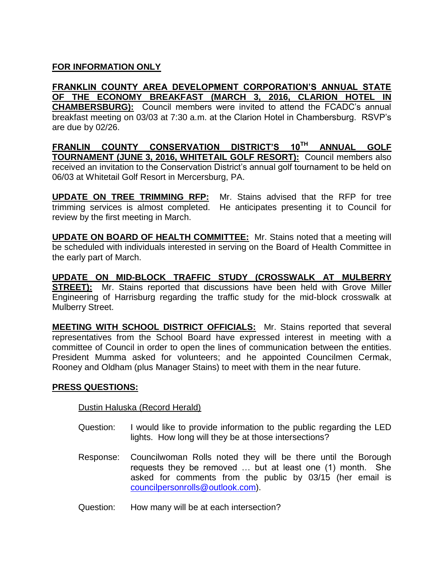# **FOR INFORMATION ONLY**

**FRANKLIN COUNTY AREA DEVELOPMENT CORPORATION'S ANNUAL STATE OF THE ECONOMY BREAKFAST (MARCH 3, 2016, CLARION HOTEL IN CHAMBERSBURG):** Council members were invited to attend the FCADC's annual breakfast meeting on 03/03 at 7:30 a.m. at the Clarion Hotel in Chambersburg. RSVP's are due by 02/26.

**FRANLIN COUNTY CONSERVATION DISTRICT'S 10TH ANNUAL GOLF TOURNAMENT (JUNE 3, 2016, WHITETAIL GOLF RESORT):** Council members also received an invitation to the Conservation District's annual golf tournament to be held on 06/03 at Whitetail Golf Resort in Mercersburg, PA.

**UPDATE ON TREE TRIMMING RFP:** Mr. Stains advised that the RFP for tree trimming services is almost completed. He anticipates presenting it to Council for review by the first meeting in March.

**UPDATE ON BOARD OF HEALTH COMMITTEE:** Mr. Stains noted that a meeting will be scheduled with individuals interested in serving on the Board of Health Committee in the early part of March.

**UPDATE ON MID-BLOCK TRAFFIC STUDY (CROSSWALK AT MULBERRY STREET):** Mr. Stains reported that discussions have been held with Grove Miller Engineering of Harrisburg regarding the traffic study for the mid-block crosswalk at Mulberry Street.

**MEETING WITH SCHOOL DISTRICT OFFICIALS:** Mr. Stains reported that several representatives from the School Board have expressed interest in meeting with a committee of Council in order to open the lines of communication between the entities. President Mumma asked for volunteers; and he appointed Councilmen Cermak, Rooney and Oldham (plus Manager Stains) to meet with them in the near future.

### **PRESS QUESTIONS:**

Dustin Haluska (Record Herald)

- Question: I would like to provide information to the public regarding the LED lights. How long will they be at those intersections?
- Response: Councilwoman Rolls noted they will be there until the Borough requests they be removed … but at least one (1) month. She asked for comments from the public by 03/15 (her email is [councilpersonrolls@outlook.com\)](mailto:councilpersonrolls@outlook.com).
- Question: How many will be at each intersection?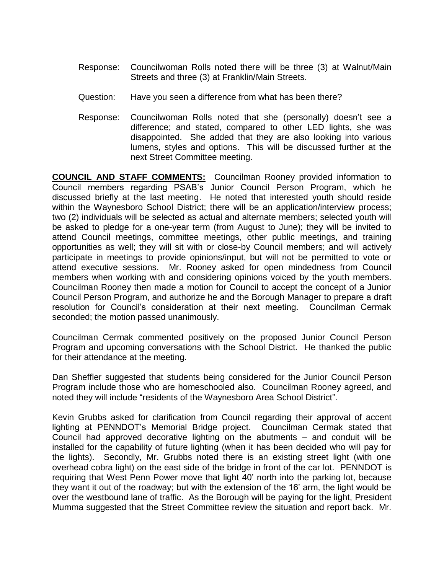- Response: Councilwoman Rolls noted there will be three (3) at Walnut/Main Streets and three (3) at Franklin/Main Streets.
- Question: Have you seen a difference from what has been there?
- Response: Councilwoman Rolls noted that she (personally) doesn't see a difference; and stated, compared to other LED lights, she was disappointed. She added that they are also looking into various lumens, styles and options. This will be discussed further at the next Street Committee meeting.

**COUNCIL AND STAFF COMMENTS:** Councilman Rooney provided information to Council members regarding PSAB's Junior Council Person Program, which he discussed briefly at the last meeting. He noted that interested youth should reside within the Waynesboro School District; there will be an application/interview process; two (2) individuals will be selected as actual and alternate members; selected youth will be asked to pledge for a one-year term (from August to June); they will be invited to attend Council meetings, committee meetings, other public meetings, and training opportunities as well; they will sit with or close-by Council members; and will actively participate in meetings to provide opinions/input, but will not be permitted to vote or attend executive sessions. Mr. Rooney asked for open mindedness from Council members when working with and considering opinions voiced by the youth members. Councilman Rooney then made a motion for Council to accept the concept of a Junior Council Person Program, and authorize he and the Borough Manager to prepare a draft resolution for Council's consideration at their next meeting. Councilman Cermak seconded; the motion passed unanimously.

Councilman Cermak commented positively on the proposed Junior Council Person Program and upcoming conversations with the School District. He thanked the public for their attendance at the meeting.

Dan Sheffler suggested that students being considered for the Junior Council Person Program include those who are homeschooled also. Councilman Rooney agreed, and noted they will include "residents of the Waynesboro Area School District".

Kevin Grubbs asked for clarification from Council regarding their approval of accent lighting at PENNDOT's Memorial Bridge project. Councilman Cermak stated that Council had approved decorative lighting on the abutments – and conduit will be installed for the capability of future lighting (when it has been decided who will pay for the lights). Secondly, Mr. Grubbs noted there is an existing street light (with one overhead cobra light) on the east side of the bridge in front of the car lot. PENNDOT is requiring that West Penn Power move that light 40' north into the parking lot, because they want it out of the roadway; but with the extension of the 16' arm, the light would be over the westbound lane of traffic. As the Borough will be paying for the light, President Mumma suggested that the Street Committee review the situation and report back. Mr.